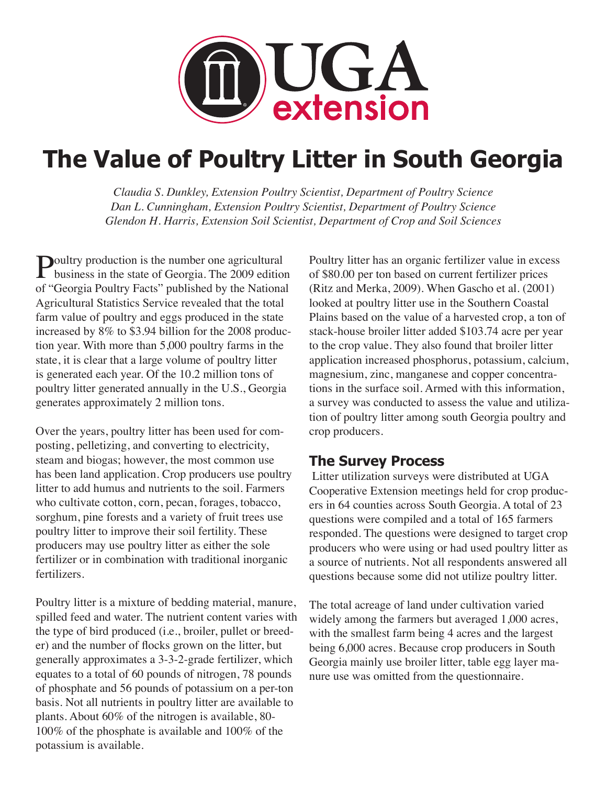

# **The Value of Poultry Litter in South Georgia**

*Claudia S. Dunkley, Extension Poultry Scientist, Department of Poultry Science Dan L. Cunningham, Extension Poultry Scientist, Department of Poultry Science Glendon H. Harris, Extension Soil Scientist, Department of Crop and Soil Sciences*

**Poultry production is the number one agricultural**<br>business in the state of Georgia. The 2009 edition of "Georgia Poultry Facts" published by the National Agricultural Statistics Service revealed that the total farm value of poultry and eggs produced in the state increased by 8% to \$3.94 billion for the 2008 production year. With more than 5,000 poultry farms in the state, it is clear that a large volume of poultry litter is generated each year. Of the 10.2 million tons of poultry litter generated annually in the U.S., Georgia generates approximately 2 million tons.

Over the years, poultry litter has been used for composting, pelletizing, and converting to electricity, steam and biogas; however, the most common use has been land application. Crop producers use poultry litter to add humus and nutrients to the soil. Farmers who cultivate cotton, corn, pecan, forages, tobacco, sorghum, pine forests and a variety of fruit trees use poultry litter to improve their soil fertility. These producers may use poultry litter as either the sole fertilizer or in combination with traditional inorganic fertilizers.

Poultry litter is a mixture of bedding material, manure, spilled feed and water. The nutrient content varies with the type of bird produced (i.e., broiler, pullet or breeder) and the number of flocks grown on the litter, but generally approximates a 3-3-2-grade fertilizer, which equates to a total of 60 pounds of nitrogen, 78 pounds of phosphate and 56 pounds of potassium on a per-ton basis. Not all nutrients in poultry litter are available to plants. About 60% of the nitrogen is available, 80- 100% of the phosphate is available and 100% of the potassium is available.

Poultry litter has an organic fertilizer value in excess of \$80.00 per ton based on current fertilizer prices (Ritz and Merka, 2009). When Gascho et al. (2001) looked at poultry litter use in the Southern Coastal Plains based on the value of a harvested crop, a ton of stack-house broiler litter added \$103.74 acre per year to the crop value. They also found that broiler litter application increased phosphorus, potassium, calcium, magnesium, zinc, manganese and copper concentrations in the surface soil. Armed with this information, a survey was conducted to assess the value and utilization of poultry litter among south Georgia poultry and crop producers.

# **The Survey Process**

 Litter utilization surveys were distributed at UGA Cooperative Extension meetings held for crop producers in 64 counties across South Georgia. A total of 23 questions were compiled and a total of 165 farmers responded. The questions were designed to target crop producers who were using or had used poultry litter as a source of nutrients. Not all respondents answered all questions because some did not utilize poultry litter.

The total acreage of land under cultivation varied widely among the farmers but averaged 1,000 acres, with the smallest farm being 4 acres and the largest being 6,000 acres. Because crop producers in South Georgia mainly use broiler litter, table egg layer manure use was omitted from the questionnaire.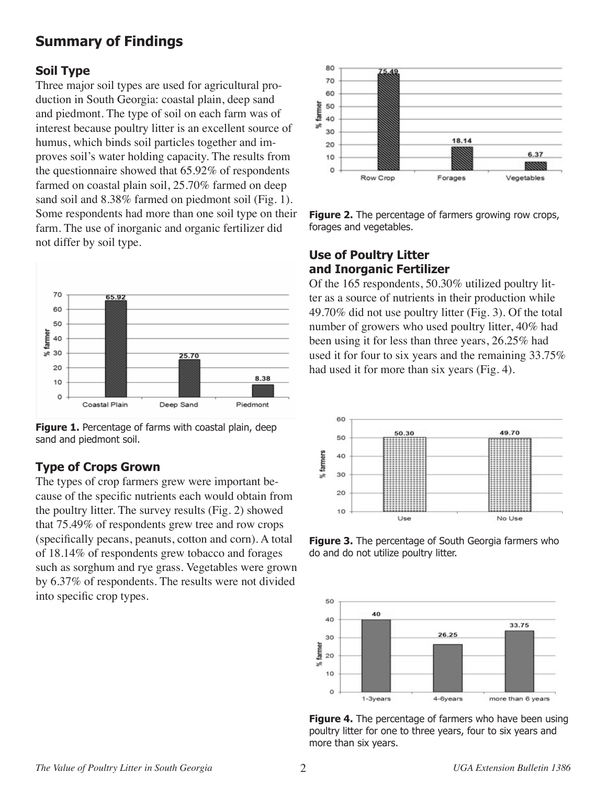# **Summary of Findings**

#### **Soil Type**

Three major soil types are used for agricultural production in South Georgia: coastal plain, deep sand and piedmont. The type of soil on each farm was of interest because poultry litter is an excellent source of humus, which binds soil particles together and improves soil's water holding capacity. The results from the questionnaire showed that 65.92% of respondents farmed on coastal plain soil, 25.70% farmed on deep sand soil and 8.38% farmed on piedmont soil (Fig. 1). Some respondents had more than one soil type on their farm. The use of inorganic and organic fertilizer did not differ by soil type.





### **Type of Crops Grown**

The types of crop farmers grew were important because of the specific nutrients each would obtain from the poultry litter. The survey results (Fig. 2) showed that 75.49% of respondents grew tree and row crops (specifically pecans, peanuts, cotton and corn). A total of 18.14% of respondents grew tobacco and forages such as sorghum and rye grass. Vegetables were grown by 6.37% of respondents. The results were not divided into specific crop types.



**Figure 2.** The percentage of farmers growing row crops, forages and vegetables.

#### **Use of Poultry Litter and Inorganic Fertilizer**

Of the 165 respondents, 50.30% utilized poultry litter as a source of nutrients in their production while 49.70% did not use poultry litter (Fig. 3). Of the total number of growers who used poultry litter, 40% had been using it for less than three years, 26.25% had used it for four to six years and the remaining 33.75% had used it for more than six years (Fig. 4).



**Figure 3.** The percentage of South Georgia farmers who do and do not utilize poultry litter.



**Figure 4.** The percentage of farmers who have been using poultry litter for one to three years, four to six years and more than six years.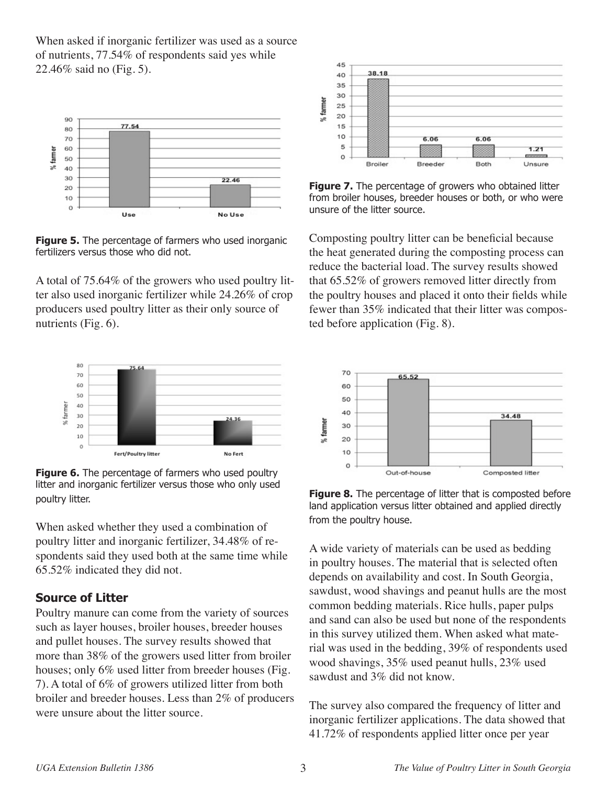When asked if inorganic fertilizer was used as a source of nutrients, 77.54% of respondents said yes while 22.46% said no (Fig. 5).



**Figure 5.** The percentage of farmers who used inorganic fertilizers versus those who did not.

A total of 75.64% of the growers who used poultry litter also used inorganic fertilizer while 24.26% of crop producers used poultry litter as their only source of nutrients (Fig. 6).



**Figure 6.** The percentage of farmers who used poultry litter and inorganic fertilizer versus those who only used poultry litter.

When asked whether they used a combination of poultry litter and inorganic fertilizer, 34.48% of respondents said they used both at the same time while 65.52% indicated they did not.

### **Source of Litter**

Poultry manure can come from the variety of sources such as layer houses, broiler houses, breeder houses and pullet houses. The survey results showed that more than 38% of the growers used litter from broiler houses; only 6% used litter from breeder houses (Fig. 7). A total of 6% of growers utilized litter from both broiler and breeder houses. Less than 2% of producers were unsure about the litter source.



**Figure 7.** The percentage of growers who obtained litter from broiler houses, breeder houses or both, or who were unsure of the litter source.

Composting poultry litter can be beneficial because the heat generated during the composting process can reduce the bacterial load. The survey results showed that 65.52% of growers removed litter directly from the poultry houses and placed it onto their fields while fewer than 35% indicated that their litter was composted before application (Fig. 8).



**Figure 8.** The percentage of litter that is composted before land application versus litter obtained and applied directly from the poultry house.

A wide variety of materials can be used as bedding in poultry houses. The material that is selected often depends on availability and cost. In South Georgia, sawdust, wood shavings and peanut hulls are the most common bedding materials. Rice hulls, paper pulps and sand can also be used but none of the respondents in this survey utilized them. When asked what material was used in the bedding, 39% of respondents used wood shavings, 35% used peanut hulls, 23% used sawdust and 3% did not know.

The survey also compared the frequency of litter and inorganic fertilizer applications. The data showed that 41.72% of respondents applied litter once per year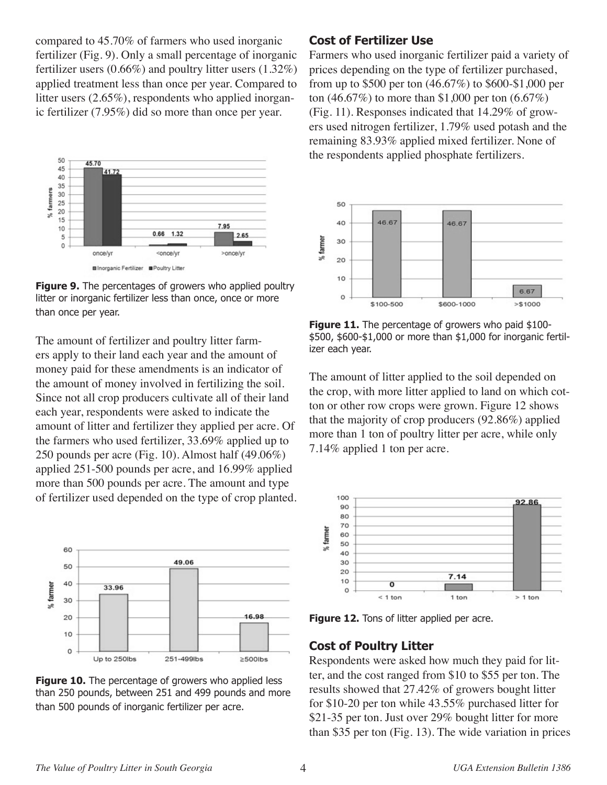compared to 45.70% of farmers who used inorganic fertilizer (Fig. 9). Only a small percentage of inorganic fertilizer users (0.66%) and poultry litter users (1.32%) applied treatment less than once per year. Compared to litter users (2.65%), respondents who applied inorganic fertilizer (7.95%) did so more than once per year.



**Figure 9.** The percentages of growers who applied poultry litter or inorganic fertilizer less than once, once or more than once per year.

The amount of fertilizer and poultry litter farmers apply to their land each year and the amount of money paid for these amendments is an indicator of the amount of money involved in fertilizing the soil. Since not all crop producers cultivate all of their land each year, respondents were asked to indicate the amount of litter and fertilizer they applied per acre. Of the farmers who used fertilizer, 33.69% applied up to 250 pounds per acre (Fig. 10). Almost half (49.06%) applied 251-500 pounds per acre, and 16.99% applied more than 500 pounds per acre. The amount and type of fertilizer used depended on the type of crop planted.



**Figure 10.** The percentage of growers who applied less than 250 pounds, between 251 and 499 pounds and more than 500 pounds of inorganic fertilizer per acre.

# **Cost of Fertilizer Use**

Farmers who used inorganic fertilizer paid a variety of prices depending on the type of fertilizer purchased, from up to \$500 per ton (46.67%) to \$600-\$1,000 per ton (46.67%) to more than \$1,000 per ton (6.67%) (Fig. 11). Responses indicated that 14.29% of growers used nitrogen fertilizer, 1.79% used potash and the remaining 83.93% applied mixed fertilizer. None of the respondents applied phosphate fertilizers.



**Figure 11.** The percentage of growers who paid \$100-\$500, \$600-\$1,000 or more than \$1,000 for inorganic fertilizer each year.

The amount of litter applied to the soil depended on the crop, with more litter applied to land on which cotton or other row crops were grown. Figure 12 shows that the majority of crop producers (92.86%) applied more than 1 ton of poultry litter per acre, while only 7.14% applied 1 ton per acre.



**Figure 12.** Tons of litter applied per acre.

# **Cost of Poultry Litter**

Respondents were asked how much they paid for litter, and the cost ranged from \$10 to \$55 per ton. The results showed that 27.42% of growers bought litter for \$10-20 per ton while 43.55% purchased litter for \$21-35 per ton. Just over 29% bought litter for more than \$35 per ton (Fig. 13). The wide variation in prices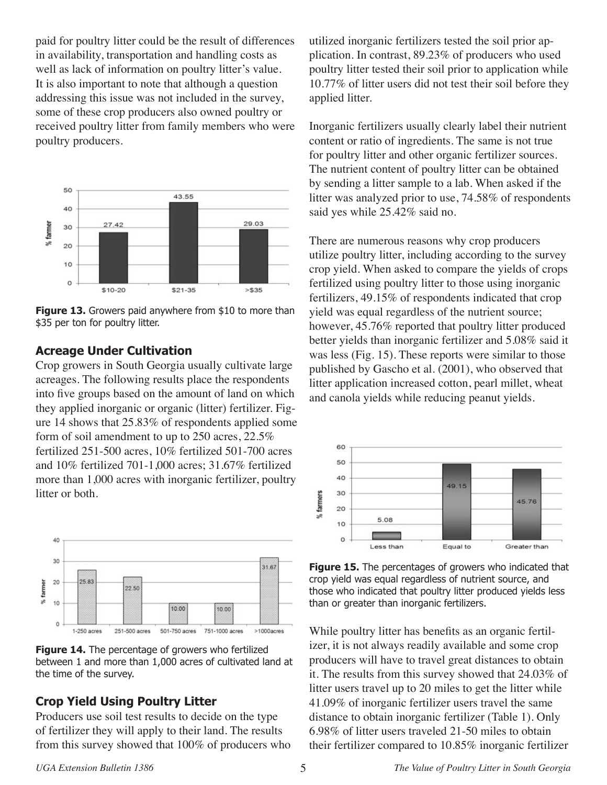paid for poultry litter could be the result of differences in availability, transportation and handling costs as well as lack of information on poultry litter's value. It is also important to note that although a question addressing this issue was not included in the survey, some of these crop producers also owned poultry or received poultry litter from family members who were poultry producers.



**Figure 13.** Growers paid anywhere from \$10 to more than \$35 per ton for poultry litter.

#### **Acreage Under Cultivation**

Crop growers in South Georgia usually cultivate large acreages. The following results place the respondents into five groups based on the amount of land on which they applied inorganic or organic (litter) fertilizer. Figure 14 shows that 25.83% of respondents applied some form of soil amendment to up to 250 acres, 22.5% fertilized 251-500 acres, 10% fertilized 501-700 acres and 10% fertilized 701-1,000 acres; 31.67% fertilized more than 1,000 acres with inorganic fertilizer, poultry litter or both.



**Figure 14.** The percentage of growers who fertilized between 1 and more than 1,000 acres of cultivated land at the time of the survey.

### **Crop Yield Using Poultry Litter**

Producers use soil test results to decide on the type of fertilizer they will apply to their land. The results from this survey showed that 100% of producers who utilized inorganic fertilizers tested the soil prior application. In contrast, 89.23% of producers who used poultry litter tested their soil prior to application while 10.77% of litter users did not test their soil before they applied litter.

Inorganic fertilizers usually clearly label their nutrient content or ratio of ingredients. The same is not true for poultry litter and other organic fertilizer sources. The nutrient content of poultry litter can be obtained by sending a litter sample to a lab. When asked if the litter was analyzed prior to use, 74.58% of respondents said yes while 25.42% said no.

There are numerous reasons why crop producers utilize poultry litter, including according to the survey crop yield. When asked to compare the yields of crops fertilized using poultry litter to those using inorganic fertilizers, 49.15% of respondents indicated that crop yield was equal regardless of the nutrient source; however, 45.76% reported that poultry litter produced better yields than inorganic fertilizer and 5.08% said it was less (Fig. 15). These reports were similar to those published by Gascho et al. (2001), who observed that litter application increased cotton, pearl millet, wheat and canola yields while reducing peanut yields.



**Figure 15.** The percentages of growers who indicated that crop yield was equal regardless of nutrient source, and those who indicated that poultry litter produced yields less than or greater than inorganic fertilizers.

While poultry litter has benefits as an organic fertilizer, it is not always readily available and some crop producers will have to travel great distances to obtain it. The results from this survey showed that 24.03% of litter users travel up to 20 miles to get the litter while 41.09% of inorganic fertilizer users travel the same distance to obtain inorganic fertilizer (Table 1). Only 6.98% of litter users traveled 21-50 miles to obtain their fertilizer compared to 10.85% inorganic fertilizer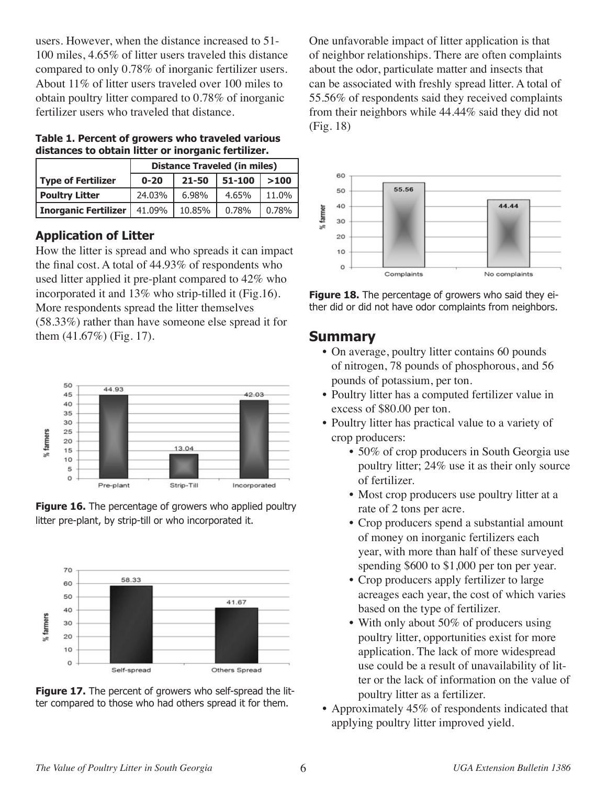users. However, when the distance increased to 51- 100 miles, 4.65% of litter users traveled this distance compared to only 0.78% of inorganic fertilizer users. About 11% of litter users traveled over 100 miles to obtain poultry litter compared to 0.78% of inorganic fertilizer users who traveled that distance.

#### **Table 1. Percent of growers who traveled various distances to obtain litter or inorganic fertilizer.**

|                       | <b>Distance Traveled (in miles)</b> |           |        |       |
|-----------------------|-------------------------------------|-----------|--------|-------|
| Type of Fertilizer    | $0 - 20$                            | $21 - 50$ | 51-100 | >100  |
| <b>Poultry Litter</b> | 24.03%                              | 6.98%     | 4.65%  | 11.0% |
| Inorganic Fertilizer  | 41.09%                              | 10.85%    | 0.78%  | 0.78% |

# **Application of Litter**

How the litter is spread and who spreads it can impact the final cost. A total of 44.93% of respondents who used litter applied it pre-plant compared to 42% who incorporated it and 13% who strip-tilled it (Fig.16). More respondents spread the litter themselves (58.33%) rather than have someone else spread it for them (41.67%) (Fig. 17).









One unfavorable impact of litter application is that of neighbor relationships. There are often complaints about the odor, particulate matter and insects that can be associated with freshly spread litter. A total of 55.56% of respondents said they received complaints from their neighbors while 44.44% said they did not (Fig. 18)



**Figure 18.** The percentage of growers who said they either did or did not have odor complaints from neighbors.

# **Summary**

- On average, poultry litter contains 60 pounds of nitrogen, 78 pounds of phosphorous, and 56 pounds of potassium, per ton.
- Poultry litter has a computed fertilizer value in excess of \$80.00 per ton.
- Poultry litter has practical value to a variety of crop producers:
	- 50% of crop producers in South Georgia use poultry litter; 24% use it as their only source of fertilizer.
	- Most crop producers use poultry litter at a rate of 2 tons per acre.
	- Crop producers spend a substantial amount of money on inorganic fertilizers each year, with more than half of these surveyed spending \$600 to \$1,000 per ton per year.
	- Crop producers apply fertilizer to large acreages each year, the cost of which varies based on the type of fertilizer.
	- With only about 50% of producers using poultry litter, opportunities exist for more application. The lack of more widespread use could be a result of unavailability of litter or the lack of information on the value of poultry litter as a fertilizer.
- Approximately 45% of respondents indicated that applying poultry litter improved yield.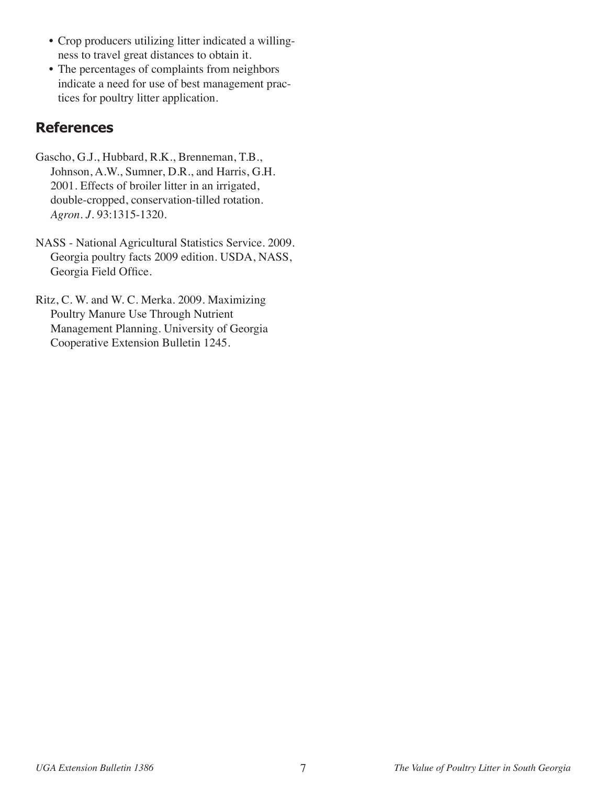- Crop producers utilizing litter indicated a willingness to travel great distances to obtain it.
- The percentages of complaints from neighbors indicate a need for use of best management practices for poultry litter application.

# **References**

- Gascho, G.J., Hubbard, R.K., Brenneman, T.B., Johnson, A.W., Sumner, D.R., and Harris, G.H. 2001. Effects of broiler litter in an irrigated, double-cropped, conservation-tilled rotation. *Agron. J.* 93:1315-1320.
- NASS National Agricultural Statistics Service. 2009. Georgia poultry facts 2009 edition. USDA, NASS, Georgia Field Office.
- Ritz, C. W. and W. C. Merka. 2009. Maximizing Poultry Manure Use Through Nutrient Management Planning. University of Georgia Cooperative Extension Bulletin 1245.